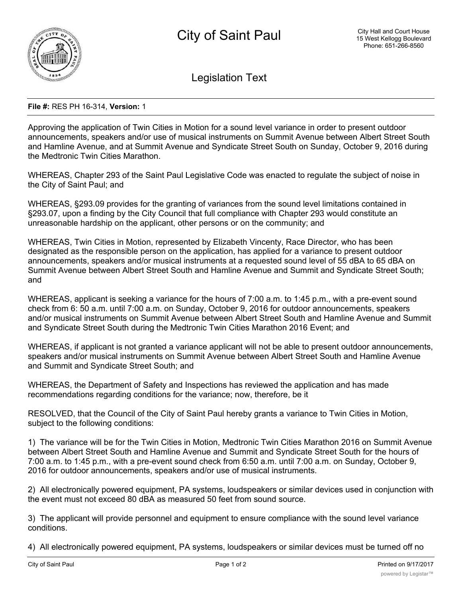

Legislation Text

## **File #:** RES PH 16-314, **Version:** 1

Approving the application of Twin Cities in Motion for a sound level variance in order to present outdoor announcements, speakers and/or use of musical instruments on Summit Avenue between Albert Street South and Hamline Avenue, and at Summit Avenue and Syndicate Street South on Sunday, October 9, 2016 during the Medtronic Twin Cities Marathon.

WHEREAS, Chapter 293 of the Saint Paul Legislative Code was enacted to regulate the subject of noise in the City of Saint Paul; and

WHEREAS, §293.09 provides for the granting of variances from the sound level limitations contained in §293.07, upon a finding by the City Council that full compliance with Chapter 293 would constitute an unreasonable hardship on the applicant, other persons or on the community; and

WHEREAS, Twin Cities in Motion, represented by Elizabeth Vincenty, Race Director, who has been designated as the responsible person on the application, has applied for a variance to present outdoor announcements, speakers and/or musical instruments at a requested sound level of 55 dBA to 65 dBA on Summit Avenue between Albert Street South and Hamline Avenue and Summit and Syndicate Street South; and

WHEREAS, applicant is seeking a variance for the hours of 7:00 a.m. to 1:45 p.m., with a pre-event sound check from 6: 50 a.m. until 7:00 a.m. on Sunday, October 9, 2016 for outdoor announcements, speakers and/or musical instruments on Summit Avenue between Albert Street South and Hamline Avenue and Summit and Syndicate Street South during the Medtronic Twin Cities Marathon 2016 Event; and

WHEREAS, if applicant is not granted a variance applicant will not be able to present outdoor announcements, speakers and/or musical instruments on Summit Avenue between Albert Street South and Hamline Avenue and Summit and Syndicate Street South; and

WHEREAS, the Department of Safety and Inspections has reviewed the application and has made recommendations regarding conditions for the variance; now, therefore, be it

RESOLVED, that the Council of the City of Saint Paul hereby grants a variance to Twin Cities in Motion, subject to the following conditions:

1) The variance will be for the Twin Cities in Motion, Medtronic Twin Cities Marathon 2016 on Summit Avenue between Albert Street South and Hamline Avenue and Summit and Syndicate Street South for the hours of 7:00 a.m. to 1:45 p.m., with a pre-event sound check from 6:50 a.m. until 7:00 a.m. on Sunday, October 9, 2016 for outdoor announcements, speakers and/or use of musical instruments.

2) All electronically powered equipment, PA systems, loudspeakers or similar devices used in conjunction with the event must not exceed 80 dBA as measured 50 feet from sound source.

3) The applicant will provide personnel and equipment to ensure compliance with the sound level variance conditions.

4) All electronically powered equipment, PA systems, loudspeakers or similar devices must be turned off no